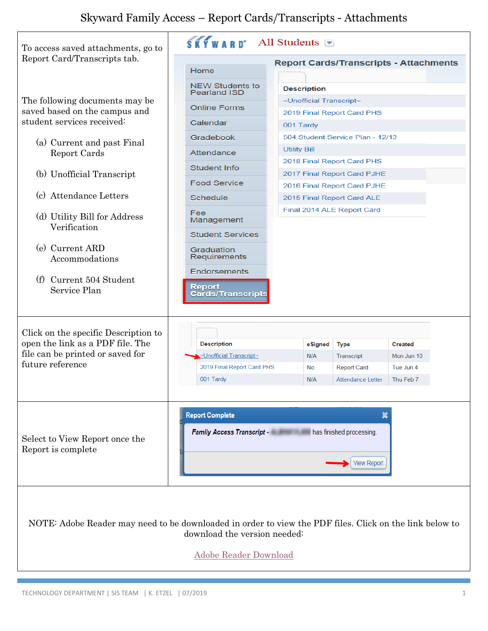